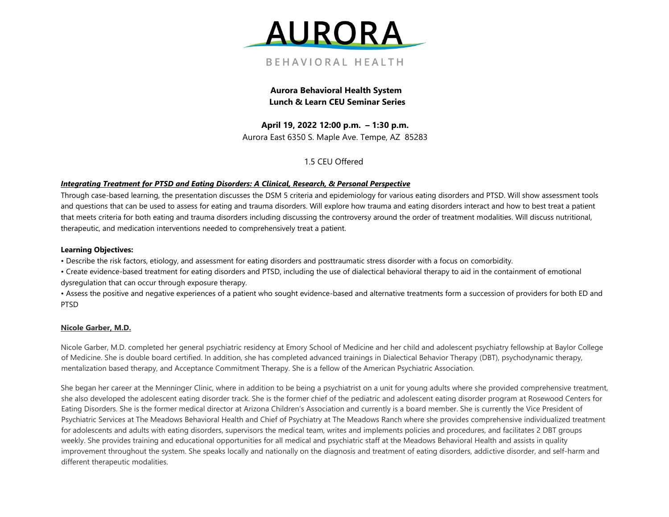

**Aurora Behavioral Health System Lunch & Learn CEU Seminar Series** 

**April 19, 2022 12:00 p.m. – 1:30 p.m.**  Aurora East 6350 S. Maple Ave. Tempe, AZ 85283

1.5 CEU Offered

## *Integrating Treatment for PTSD and Eating Disorders: A Clinical, Research, & Personal Perspective*

Through case-based learning, the presentation discusses the DSM 5 criteria and epidemiology for various eating disorders and PTSD. Will show assessment tools and questions that can be used to assess for eating and trauma disorders. Will explore how trauma and eating disorders interact and how to best treat a patient that meets criteria for both eating and trauma disorders including discussing the controversy around the order of treatment modalities. Will discuss nutritional, therapeutic, and medication interventions needed to comprehensively treat a patient.

## **Learning Objectives:**

• Describe the risk factors, etiology, and assessment for eating disorders and posttraumatic stress disorder with a focus on comorbidity.

• Create evidence-based treatment for eating disorders and PTSD, including the use of dialectical behavioral therapy to aid in the containment of emotional dysregulation that can occur through exposure therapy.

• Assess the positive and negative experiences of a patient who sought evidence-based and alternative treatments form a succession of providers for both ED and PTSD

## **Nicole Garber, M.D.**

Nicole Garber, M.D. completed her general psychiatric residency at Emory School of Medicine and her child and adolescent psychiatry fellowship at Baylor College of Medicine. She is double board certified. In addition, she has completed advanced trainings in Dialectical Behavior Therapy (DBT), psychodynamic therapy, mentalization based therapy, and Acceptance Commitment Therapy. She is a fellow of the American Psychiatric Association.

She began her career at the Menninger Clinic, where in addition to be being a psychiatrist on a unit for young adults where she provided comprehensive treatment, she also developed the adolescent eating disorder track. She is the former chief of the pediatric and adolescent eating disorder program at Rosewood Centers for Eating Disorders. She is the former medical director at Arizona Children's Association and currently is a board member. She is currently the Vice President of Psychiatric Services at The Meadows Behavioral Health and Chief of Psychiatry at The Meadows Ranch where she provides comprehensive individualized treatment for adolescents and adults with eating disorders, supervisors the medical team, writes and implements policies and procedures, and facilitates 2 DBT groups weekly. She provides training and educational opportunities for all medical and psychiatric staff at the Meadows Behavioral Health and assists in quality improvement throughout the system. She speaks locally and nationally on the diagnosis and treatment of eating disorders, addictive disorder, and self-harm and different therapeutic modalities.